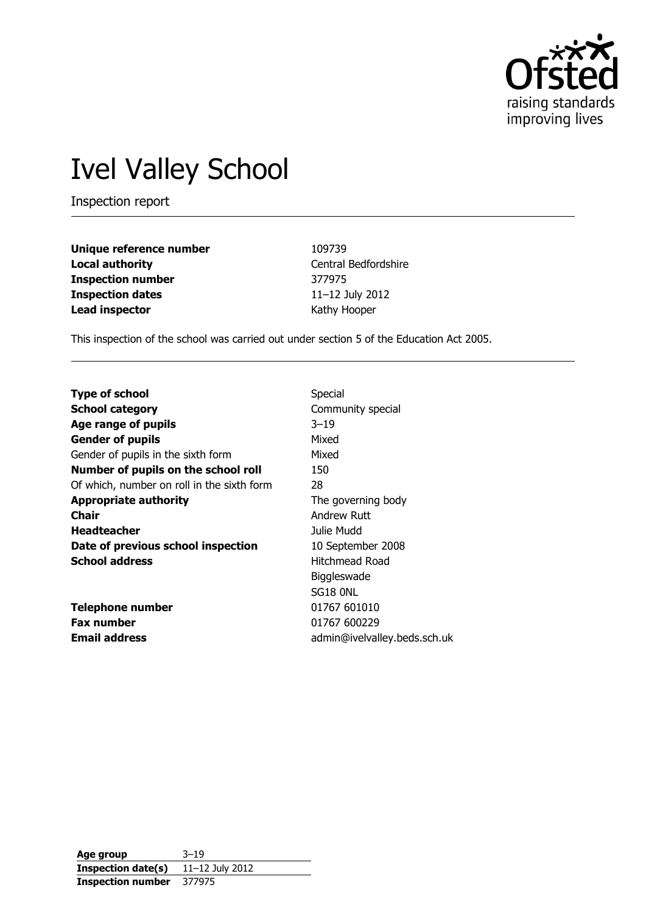

# Ivel Valley School

Inspection report

| Unique reference number  | 109739               |
|--------------------------|----------------------|
| Local authority          | Central Bedfordshire |
| <b>Inspection number</b> | 377975               |
| <b>Inspection dates</b>  | 11-12 July 2012      |
| Lead inspector           | Kathy Hooper         |

This inspection of the school was carried out under section 5 of the Education Act 2005.

| <b>Type of school</b>                      | Special                      |
|--------------------------------------------|------------------------------|
| <b>School category</b>                     | Community special            |
| Age range of pupils                        | $3 - 19$                     |
| <b>Gender of pupils</b>                    | Mixed                        |
| Gender of pupils in the sixth form         | Mixed                        |
| Number of pupils on the school roll        | 150                          |
| Of which, number on roll in the sixth form | 28                           |
| <b>Appropriate authority</b>               | The governing body           |
| Chair                                      | Andrew Ruff                  |
| <b>Headteacher</b>                         | Julie Mudd                   |
| Date of previous school inspection         | 10 September 2008            |
| <b>School address</b>                      | Hitchmead Road               |
|                                            | Biggleswade                  |
|                                            | SG18 ONL                     |
| <b>Telephone number</b>                    | 01767 601010                 |
| <b>Fax number</b>                          | 01767 600229                 |
| <b>Email address</b>                       | admin@ivelvalley.beds.sch.uk |

**Age group** 3–19 **Inspection date(s)** 11–12 July 2012 **Inspection number** 377975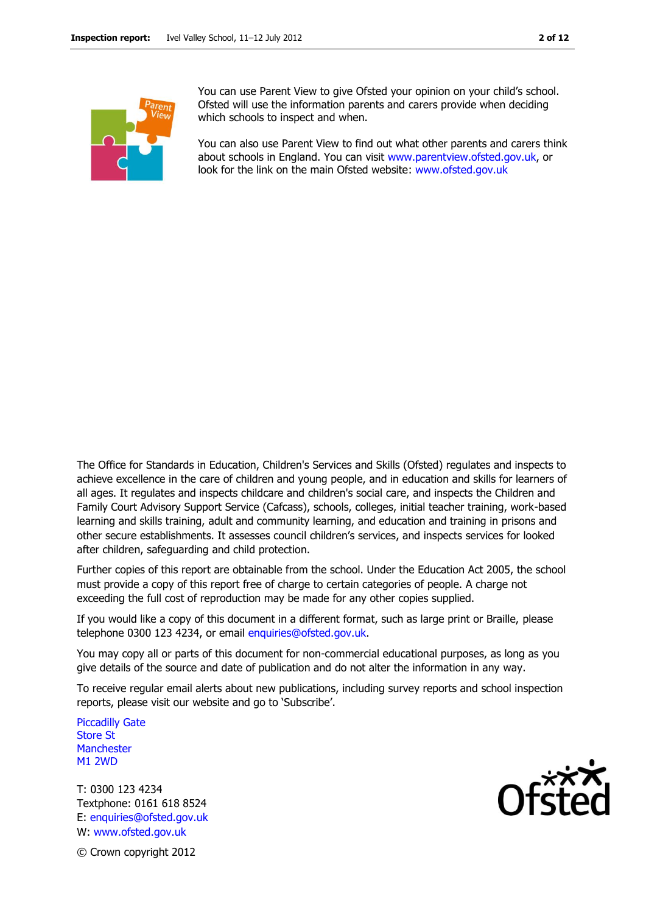You can use Parent View to give Ofsted your opinion on your child's school. Ofsted will use the information parents and carers provide when deciding which schools to inspect and when.

You can also use Parent View to find out what other parents and carers think about schools in England. You can visit [www.parentview.ofsted.gov.uk,](http://www.parentview.ofsted.gov.uk/) or look for the link on the main Ofsted website: [www.ofsted.gov.uk](http://www.ofsted.gov.uk/)

The Office for Standards in Education, Children's Services and Skills (Ofsted) regulates and inspects to achieve excellence in the care of children and young people, and in education and skills for learners of all ages. It regulates and inspects childcare and children's social care, and inspects the Children and Family Court Advisory Support Service (Cafcass), schools, colleges, initial teacher training, work-based learning and skills training, adult and community learning, and education and training in prisons and other secure establishments. It assesses council children's services, and inspects services for looked after children, safeguarding and child protection.

Further copies of this report are obtainable from the school. Under the Education Act 2005, the school must provide a copy of this report free of charge to certain categories of people. A charge not exceeding the full cost of reproduction may be made for any other copies supplied.

If you would like a copy of this document in a different format, such as large print or Braille, please telephone 0300 123 4234, or email enquiries@ofsted.gov.uk.

You may copy all or parts of this document for non-commercial educational purposes, as long as you give details of the source and date of publication and do not alter the information in any way.

To receive regular email alerts about new publications, including survey reports and school inspection reports, please visit our website and go to 'Subscribe'.

Piccadilly Gate Store St **Manchester** M1 2WD

T: 0300 123 4234 Textphone: 0161 618 8524 E: enquiries@ofsted.gov.uk W: www.ofsted.gov.uk



© Crown copyright 2012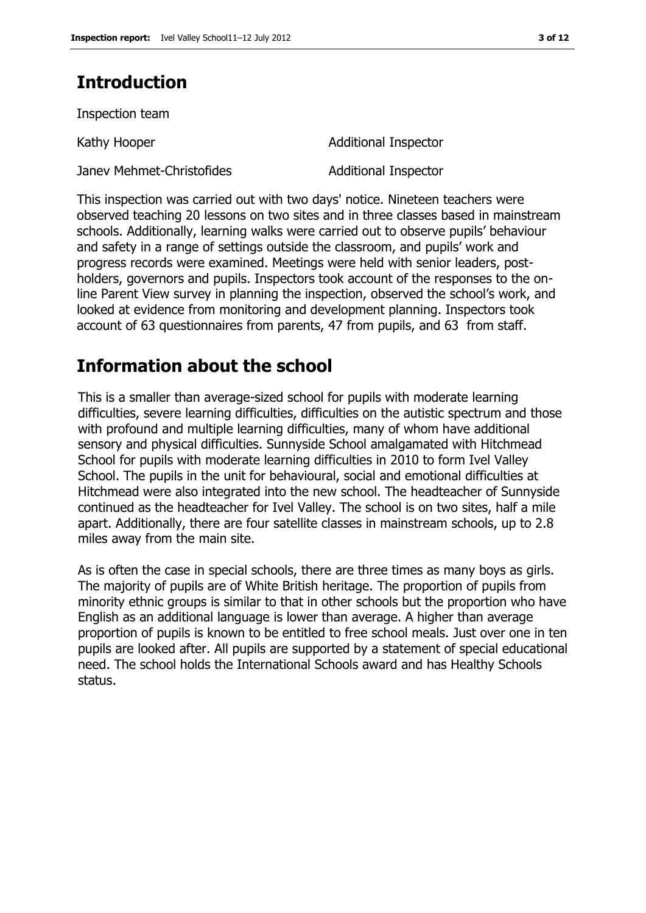# **Introduction**

Inspection team

Janev Mehmet-Christofides **Additional Inspector** 

Kathy Hooper **Additional Inspector** 

This inspection was carried out with two days' notice. Nineteen teachers were observed teaching 20 lessons on two sites and in three classes based in mainstream schools. Additionally, learning walks were carried out to observe pupils' behaviour and safety in a range of settings outside the classroom, and pupils' work and progress records were examined. Meetings were held with senior leaders, postholders, governors and pupils. Inspectors took account of the responses to the online Parent View survey in planning the inspection, observed the school's work, and looked at evidence from monitoring and development planning. Inspectors took account of 63 questionnaires from parents, 47 from pupils, and 63 from staff.

# **Information about the school**

This is a smaller than average-sized school for pupils with moderate learning difficulties, severe learning difficulties, difficulties on the autistic spectrum and those with profound and multiple learning difficulties, many of whom have additional sensory and physical difficulties. Sunnyside School amalgamated with Hitchmead School for pupils with moderate learning difficulties in 2010 to form Ivel Valley School. The pupils in the unit for behavioural, social and emotional difficulties at Hitchmead were also integrated into the new school. The headteacher of Sunnyside continued as the headteacher for Ivel Valley. The school is on two sites, half a mile apart. Additionally, there are four satellite classes in mainstream schools, up to 2.8 miles away from the main site.

As is often the case in special schools, there are three times as many boys as girls. The majority of pupils are of White British heritage. The proportion of pupils from minority ethnic groups is similar to that in other schools but the proportion who have English as an additional language is lower than average. A higher than average proportion of pupils is known to be entitled to free school meals. Just over one in ten pupils are looked after. All pupils are supported by a statement of special educational need. The school holds the International Schools award and has Healthy Schools status.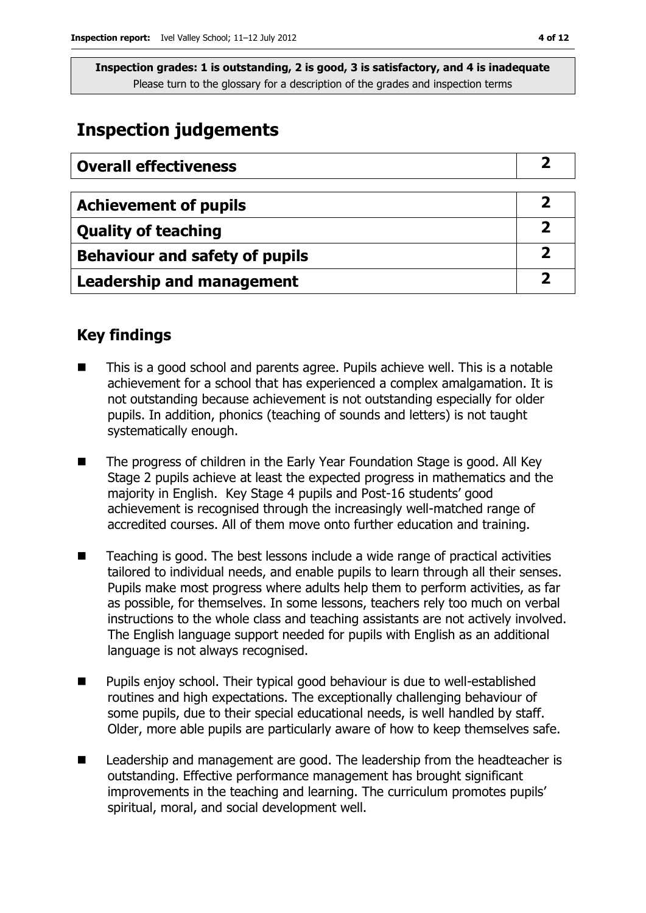# **Inspection judgements**

| <b>Overall effectiveness</b>          |  |
|---------------------------------------|--|
|                                       |  |
| <b>Achievement of pupils</b>          |  |
| <b>Quality of teaching</b>            |  |
| <b>Behaviour and safety of pupils</b> |  |
| <b>Leadership and management</b>      |  |

## **Key findings**

- This is a good school and parents agree. Pupils achieve well. This is a notable achievement for a school that has experienced a complex amalgamation. It is not outstanding because achievement is not outstanding especially for older pupils. In addition, phonics (teaching of sounds and letters) is not taught systematically enough.
- The progress of children in the Early Year Foundation Stage is good. All Key Stage 2 pupils achieve at least the expected progress in mathematics and the majority in English. Key Stage 4 pupils and Post-16 students' good achievement is recognised through the increasingly well-matched range of accredited courses. All of them move onto further education and training.
- Teaching is good. The best lessons include a wide range of practical activities tailored to individual needs, and enable pupils to learn through all their senses. Pupils make most progress where adults help them to perform activities, as far as possible, for themselves. In some lessons, teachers rely too much on verbal instructions to the whole class and teaching assistants are not actively involved. The English language support needed for pupils with English as an additional language is not always recognised.
- Pupils enjoy school. Their typical good behaviour is due to well-established routines and high expectations. The exceptionally challenging behaviour of some pupils, due to their special educational needs, is well handled by staff. Older, more able pupils are particularly aware of how to keep themselves safe.
- Leadership and management are good. The leadership from the headteacher is outstanding. Effective performance management has brought significant improvements in the teaching and learning. The curriculum promotes pupils' spiritual, moral, and social development well.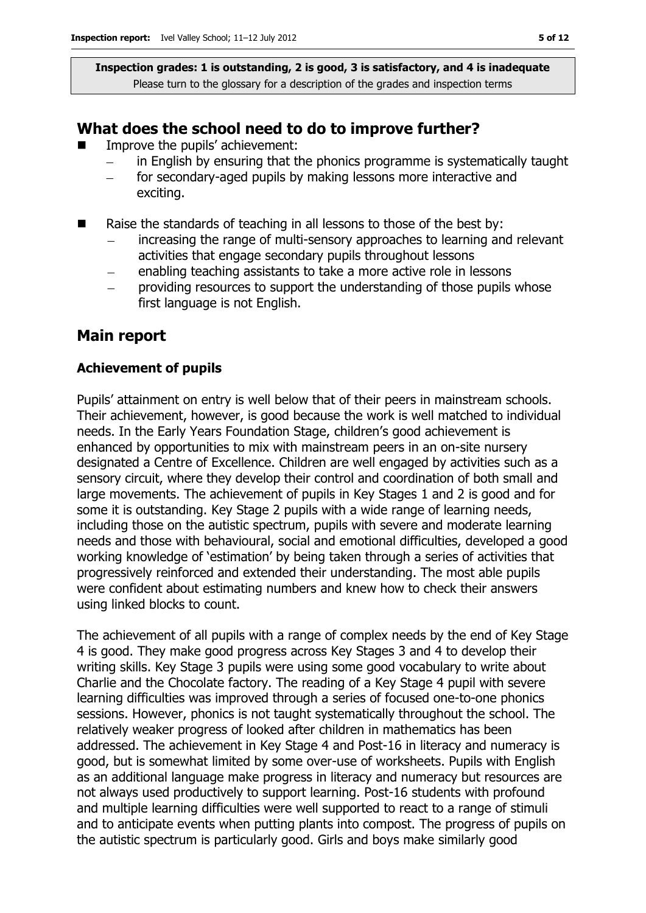### **What does the school need to do to improve further?**

- Improve the pupils' achievement:
	- in English by ensuring that the phonics programme is systematically taught
	- for secondary-aged pupils by making lessons more interactive and exciting.
- $\blacksquare$  Raise the standards of teaching in all lessons to those of the best by:
	- increasing the range of multi-sensory approaches to learning and relevant activities that engage secondary pupils throughout lessons
	- enabling teaching assistants to take a more active role in lessons
	- providing resources to support the understanding of those pupils whose first language is not English.

### **Main report**

#### **Achievement of pupils**

Pupils' attainment on entry is well below that of their peers in mainstream schools. Their achievement, however, is good because the work is well matched to individual needs. In the Early Years Foundation Stage, children's good achievement is enhanced by opportunities to mix with mainstream peers in an on-site nursery designated a Centre of Excellence. Children are well engaged by activities such as a sensory circuit, where they develop their control and coordination of both small and large movements. The achievement of pupils in Key Stages 1 and 2 is good and for some it is outstanding. Key Stage 2 pupils with a wide range of learning needs, including those on the autistic spectrum, pupils with severe and moderate learning needs and those with behavioural, social and emotional difficulties, developed a good working knowledge of 'estimation' by being taken through a series of activities that progressively reinforced and extended their understanding. The most able pupils were confident about estimating numbers and knew how to check their answers using linked blocks to count.

The achievement of all pupils with a range of complex needs by the end of Key Stage 4 is good. They make good progress across Key Stages 3 and 4 to develop their writing skills. Key Stage 3 pupils were using some good vocabulary to write about Charlie and the Chocolate factory. The reading of a Key Stage 4 pupil with severe learning difficulties was improved through a series of focused one-to-one phonics sessions. However, phonics is not taught systematically throughout the school. The relatively weaker progress of looked after children in mathematics has been addressed. The achievement in Key Stage 4 and Post-16 in literacy and numeracy is good, but is somewhat limited by some over-use of worksheets. Pupils with English as an additional language make progress in literacy and numeracy but resources are not always used productively to support learning. Post-16 students with profound and multiple learning difficulties were well supported to react to a range of stimuli and to anticipate events when putting plants into compost. The progress of pupils on the autistic spectrum is particularly good. Girls and boys make similarly good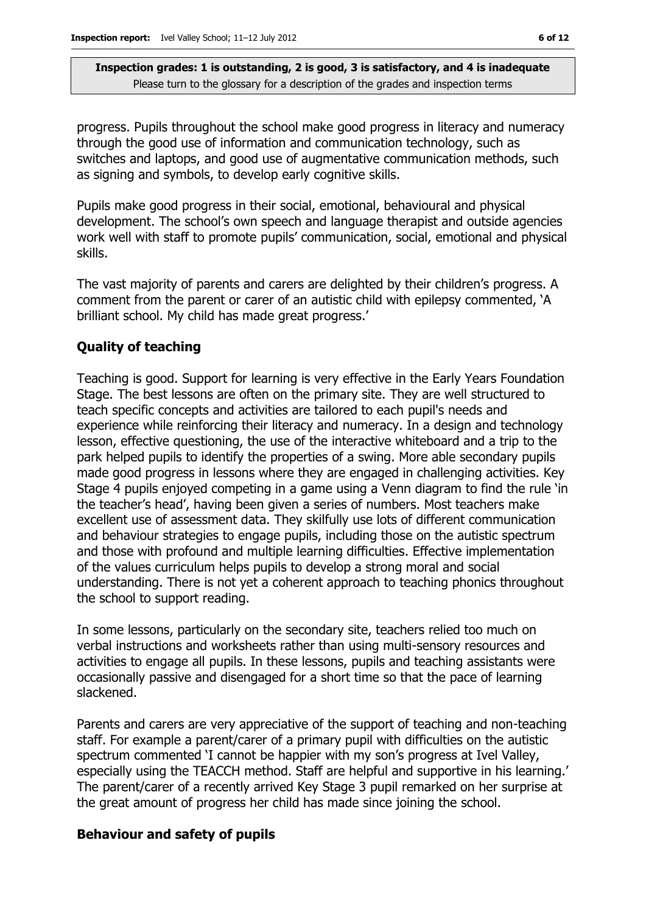progress. Pupils throughout the school make good progress in literacy and numeracy through the good use of information and communication technology, such as switches and laptops, and good use of augmentative communication methods, such as signing and symbols, to develop early cognitive skills.

Pupils make good progress in their social, emotional, behavioural and physical development. The school's own speech and language therapist and outside agencies work well with staff to promote pupils' communication, social, emotional and physical skills.

The vast majority of parents and carers are delighted by their children's progress. A comment from the parent or carer of an autistic child with epilepsy commented, 'A brilliant school. My child has made great progress.'

### **Quality of teaching**

Teaching is good. Support for learning is very effective in the Early Years Foundation Stage. The best lessons are often on the primary site. They are well structured to teach specific concepts and activities are tailored to each pupil's needs and experience while reinforcing their literacy and numeracy. In a design and technology lesson, effective questioning, the use of the interactive whiteboard and a trip to the park helped pupils to identify the properties of a swing. More able secondary pupils made good progress in lessons where they are engaged in challenging activities. Key Stage 4 pupils enjoyed competing in a game using a Venn diagram to find the rule 'in the teacher's head', having been given a series of numbers. Most teachers make excellent use of assessment data. They skilfully use lots of different communication and behaviour strategies to engage pupils, including those on the autistic spectrum and those with profound and multiple learning difficulties. Effective implementation of the values curriculum helps pupils to develop a strong moral and social understanding. There is not yet a coherent approach to teaching phonics throughout the school to support reading.

In some lessons, particularly on the secondary site, teachers relied too much on verbal instructions and worksheets rather than using multi-sensory resources and activities to engage all pupils. In these lessons, pupils and teaching assistants were occasionally passive and disengaged for a short time so that the pace of learning slackened.

Parents and carers are very appreciative of the support of teaching and non-teaching staff. For example a parent/carer of a primary pupil with difficulties on the autistic spectrum commented 'I cannot be happier with my son's progress at Ivel Valley, especially using the TEACCH method. Staff are helpful and supportive in his learning.' The parent/carer of a recently arrived Key Stage 3 pupil remarked on her surprise at the great amount of progress her child has made since joining the school.

#### **Behaviour and safety of pupils**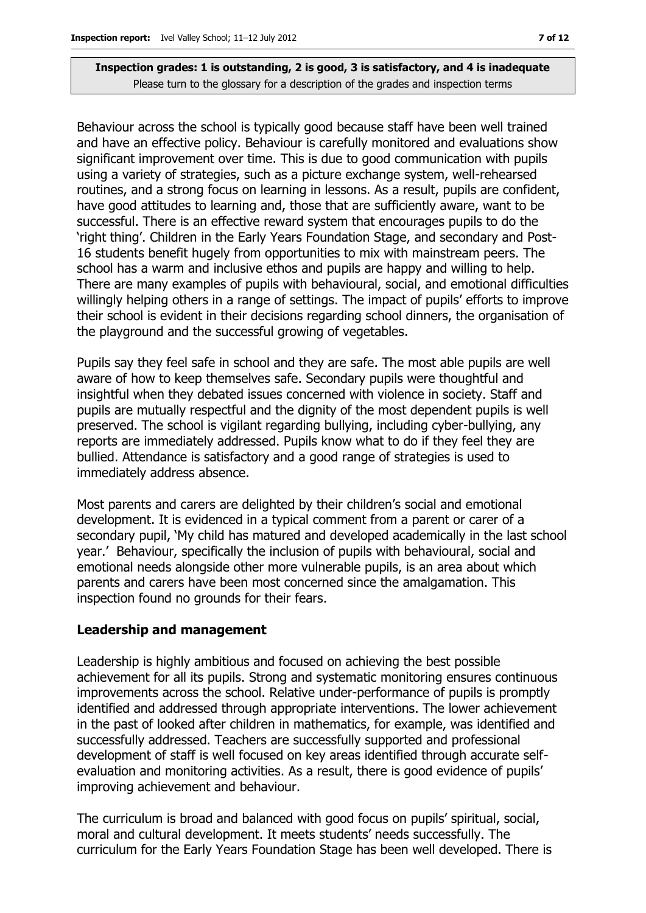Behaviour across the school is typically good because staff have been well trained and have an effective policy. Behaviour is carefully monitored and evaluations show significant improvement over time. This is due to good communication with pupils using a variety of strategies, such as a picture exchange system, well-rehearsed routines, and a strong focus on learning in lessons. As a result, pupils are confident, have good attitudes to learning and, those that are sufficiently aware, want to be successful. There is an effective reward system that encourages pupils to do the 'right thing'. Children in the Early Years Foundation Stage, and secondary and Post-16 students benefit hugely from opportunities to mix with mainstream peers. The school has a warm and inclusive ethos and pupils are happy and willing to help. There are many examples of pupils with behavioural, social, and emotional difficulties willingly helping others in a range of settings. The impact of pupils' efforts to improve their school is evident in their decisions regarding school dinners, the organisation of the playground and the successful growing of vegetables.

Pupils say they feel safe in school and they are safe. The most able pupils are well aware of how to keep themselves safe. Secondary pupils were thoughtful and insightful when they debated issues concerned with violence in society. Staff and pupils are mutually respectful and the dignity of the most dependent pupils is well preserved. The school is vigilant regarding bullying, including cyber-bullying, any reports are immediately addressed. Pupils know what to do if they feel they are bullied. Attendance is satisfactory and a good range of strategies is used to immediately address absence.

Most parents and carers are delighted by their children's social and emotional development. It is evidenced in a typical comment from a parent or carer of a secondary pupil, 'My child has matured and developed academically in the last school year.' Behaviour, specifically the inclusion of pupils with behavioural, social and emotional needs alongside other more vulnerable pupils, is an area about which parents and carers have been most concerned since the amalgamation. This inspection found no grounds for their fears.

#### **Leadership and management**

Leadership is highly ambitious and focused on achieving the best possible achievement for all its pupils. Strong and systematic monitoring ensures continuous improvements across the school. Relative under-performance of pupils is promptly identified and addressed through appropriate interventions. The lower achievement in the past of looked after children in mathematics, for example, was identified and successfully addressed. Teachers are successfully supported and professional development of staff is well focused on key areas identified through accurate selfevaluation and monitoring activities. As a result, there is good evidence of pupils' improving achievement and behaviour.

The curriculum is broad and balanced with good focus on pupils' spiritual, social, moral and cultural development. It meets students' needs successfully. The curriculum for the Early Years Foundation Stage has been well developed. There is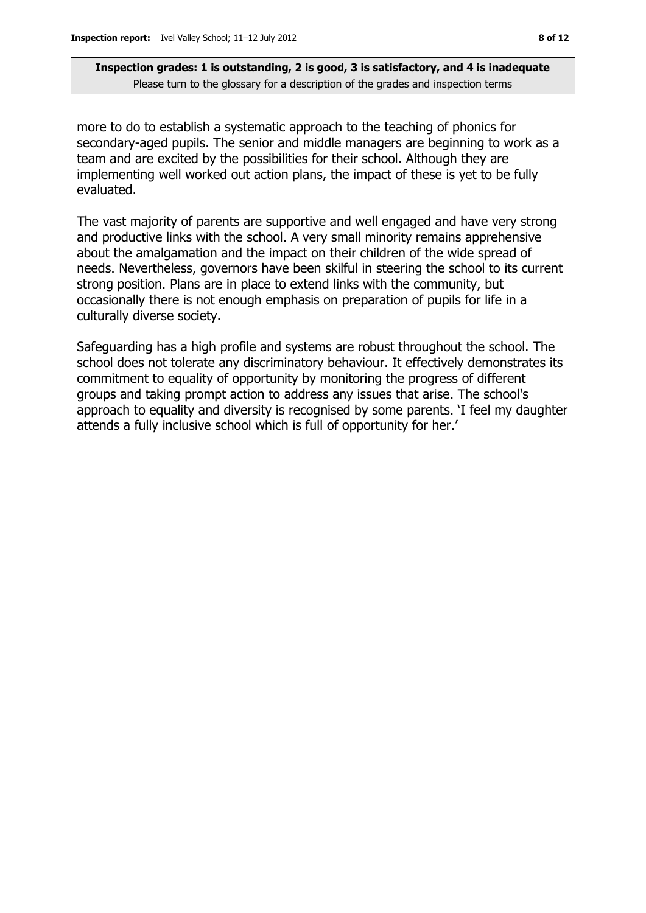more to do to establish a systematic approach to the teaching of phonics for secondary-aged pupils. The senior and middle managers are beginning to work as a team and are excited by the possibilities for their school. Although they are implementing well worked out action plans, the impact of these is yet to be fully evaluated.

The vast majority of parents are supportive and well engaged and have very strong and productive links with the school. A very small minority remains apprehensive about the amalgamation and the impact on their children of the wide spread of needs. Nevertheless, governors have been skilful in steering the school to its current strong position. Plans are in place to extend links with the community, but occasionally there is not enough emphasis on preparation of pupils for life in a culturally diverse society.

Safeguarding has a high profile and systems are robust throughout the school. The school does not tolerate any discriminatory behaviour. It effectively demonstrates its commitment to equality of opportunity by monitoring the progress of different groups and taking prompt action to address any issues that arise. The school's approach to equality and diversity is recognised by some parents. 'I feel my daughter attends a fully inclusive school which is full of opportunity for her.'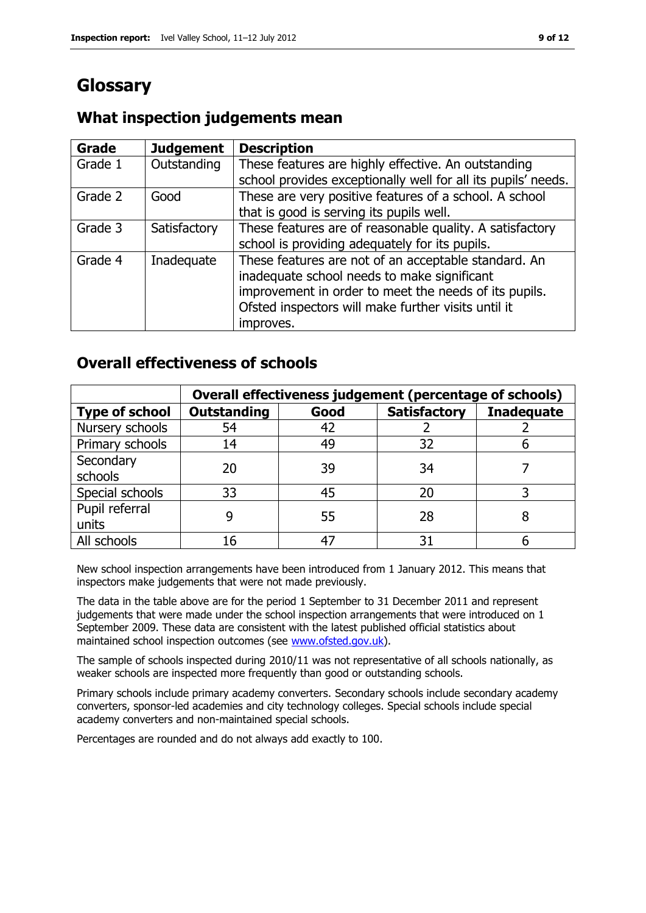# **Glossary**

### **What inspection judgements mean**

| Grade   | <b>Judgement</b> | <b>Description</b>                                            |
|---------|------------------|---------------------------------------------------------------|
| Grade 1 | Outstanding      | These features are highly effective. An outstanding           |
|         |                  | school provides exceptionally well for all its pupils' needs. |
| Grade 2 | Good             | These are very positive features of a school. A school        |
|         |                  | that is good is serving its pupils well.                      |
| Grade 3 | Satisfactory     | These features are of reasonable quality. A satisfactory      |
|         |                  | school is providing adequately for its pupils.                |
| Grade 4 | Inadequate       | These features are not of an acceptable standard. An          |
|         |                  | inadequate school needs to make significant                   |
|         |                  | improvement in order to meet the needs of its pupils.         |
|         |                  | Ofsted inspectors will make further visits until it           |
|         |                  | improves.                                                     |

### **Overall effectiveness of schools**

|                         | Overall effectiveness judgement (percentage of schools) |      |                     |                   |
|-------------------------|---------------------------------------------------------|------|---------------------|-------------------|
| <b>Type of school</b>   | <b>Outstanding</b>                                      | Good | <b>Satisfactory</b> | <b>Inadequate</b> |
| Nursery schools         | 54                                                      | 42   |                     |                   |
| Primary schools         | 14                                                      | 49   | 32                  |                   |
| Secondary<br>schools    | 20                                                      | 39   | 34                  |                   |
| Special schools         | 33                                                      | 45   | 20                  |                   |
| Pupil referral<br>units | 9                                                       | 55   | 28                  |                   |
| All schools             | 16                                                      | 47   | 31                  |                   |

New school inspection arrangements have been introduced from 1 January 2012. This means that inspectors make judgements that were not made previously.

The data in the table above are for the period 1 September to 31 December 2011 and represent judgements that were made under the school inspection arrangements that were introduced on 1 September 2009. These data are consistent with the latest published official statistics about maintained school inspection outcomes (see [www.ofsted.gov.uk\)](http://www.ofsted.gov.uk/).

The sample of schools inspected during 2010/11 was not representative of all schools nationally, as weaker schools are inspected more frequently than good or outstanding schools.

Primary schools include primary academy converters. Secondary schools include secondary academy converters, sponsor-led academies and city technology colleges. Special schools include special academy converters and non-maintained special schools.

Percentages are rounded and do not always add exactly to 100.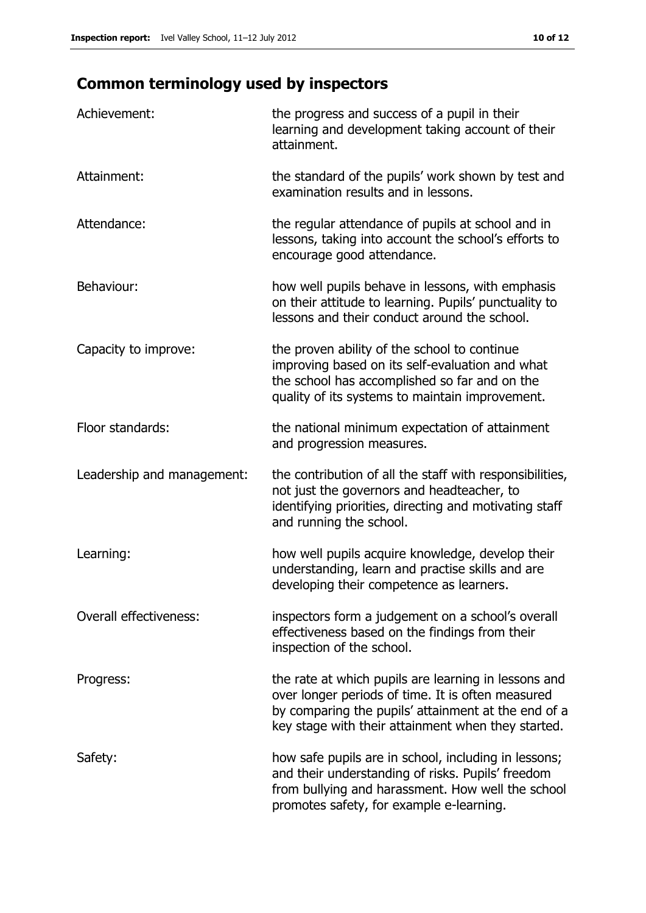# **Common terminology used by inspectors**

| Achievement:               | the progress and success of a pupil in their<br>learning and development taking account of their<br>attainment.                                                                                                        |
|----------------------------|------------------------------------------------------------------------------------------------------------------------------------------------------------------------------------------------------------------------|
| Attainment:                | the standard of the pupils' work shown by test and<br>examination results and in lessons.                                                                                                                              |
| Attendance:                | the regular attendance of pupils at school and in<br>lessons, taking into account the school's efforts to<br>encourage good attendance.                                                                                |
| Behaviour:                 | how well pupils behave in lessons, with emphasis<br>on their attitude to learning. Pupils' punctuality to<br>lessons and their conduct around the school.                                                              |
| Capacity to improve:       | the proven ability of the school to continue<br>improving based on its self-evaluation and what<br>the school has accomplished so far and on the<br>quality of its systems to maintain improvement.                    |
| Floor standards:           | the national minimum expectation of attainment<br>and progression measures.                                                                                                                                            |
| Leadership and management: | the contribution of all the staff with responsibilities,<br>not just the governors and headteacher, to<br>identifying priorities, directing and motivating staff<br>and running the school.                            |
| Learning:                  | how well pupils acquire knowledge, develop their<br>understanding, learn and practise skills and are<br>developing their competence as learners.                                                                       |
| Overall effectiveness:     | inspectors form a judgement on a school's overall<br>effectiveness based on the findings from their<br>inspection of the school.                                                                                       |
| Progress:                  | the rate at which pupils are learning in lessons and<br>over longer periods of time. It is often measured<br>by comparing the pupils' attainment at the end of a<br>key stage with their attainment when they started. |
| Safety:                    | how safe pupils are in school, including in lessons;<br>and their understanding of risks. Pupils' freedom<br>from bullying and harassment. How well the school<br>promotes safety, for example e-learning.             |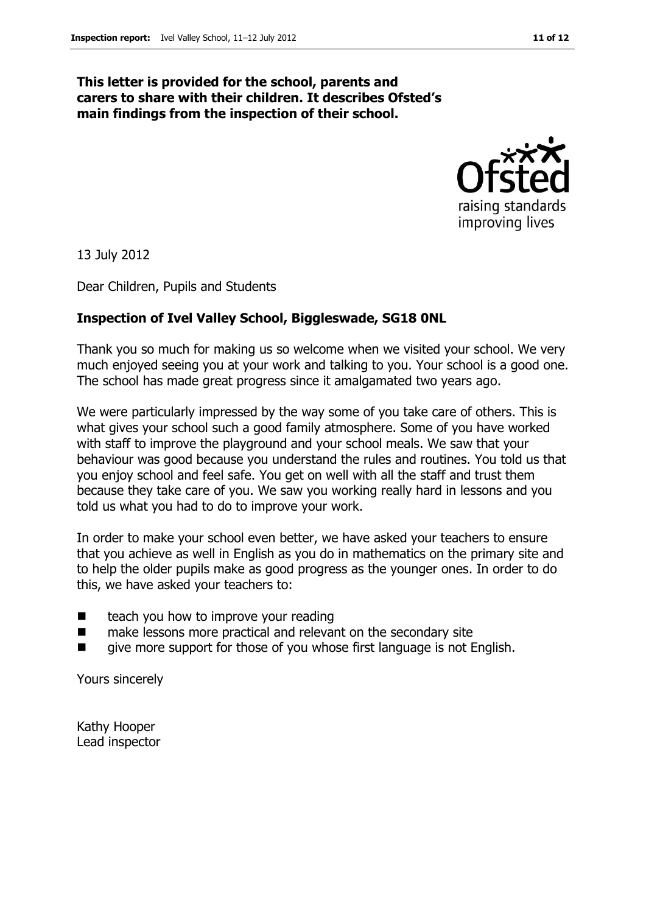#### **This letter is provided for the school, parents and carers to share with their children. It describes Ofsted's main findings from the inspection of their school.**



13 July 2012

Dear Children, Pupils and Students

#### **Inspection of Ivel Valley School, Biggleswade, SG18 0NL**

Thank you so much for making us so welcome when we visited your school. We very much enjoyed seeing you at your work and talking to you. Your school is a good one. The school has made great progress since it amalgamated two years ago.

We were particularly impressed by the way some of you take care of others. This is what gives your school such a good family atmosphere. Some of you have worked with staff to improve the playground and your school meals. We saw that your behaviour was good because you understand the rules and routines. You told us that you enjoy school and feel safe. You get on well with all the staff and trust them because they take care of you. We saw you working really hard in lessons and you told us what you had to do to improve your work.

In order to make your school even better, we have asked your teachers to ensure that you achieve as well in English as you do in mathematics on the primary site and to help the older pupils make as good progress as the younger ones. In order to do this, we have asked your teachers to:

- $\blacksquare$  teach you how to improve your reading
- make lessons more practical and relevant on the secondary site
- give more support for those of you whose first language is not English.

Yours sincerely

Kathy Hooper Lead inspector